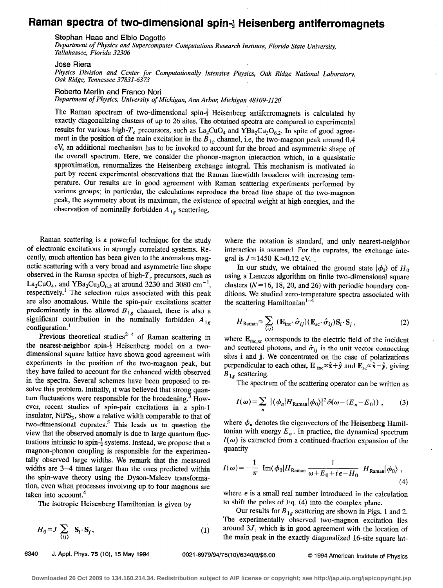## Raman spectra of two-dimensional spin-<sup>1</sup> Heisenberg antiferromagnets

Stephan Haas and Elbio Dagotto

Department of Physics and Supercomputer Computations Research Institute, Florida State University, Tallahassee, Florida 32306

Jose Riera

Physics Division and Center for Computationally Intensive Physics, Oak Ridge National Laboratory, Oak Ridge, Tennessee 37831-6373

Roberto Merlin and Franco Nori

Department of Physics, University of Michigan, Ann Arbor; Michigan 48109-1120

The Raman spectrum of two-dimensional spin- $\frac{1}{2}$  Heisenberg antiferromagnets is calculated by exactly diagonalizing clusters of up to 26 sites. The obtained spectra are compared to experimental results for various high- $T_c$  precursors, such as  $La_2CuO_4$  and  $YBa_2Cu_3O_{6,2}$ . In spite of good agreement in the position of the main excitation in the  $B_{1g}$  channel, i.e, the two-magnon peak around 0.4 eV, an additional mechanism has to be invoked to account for the broad and asymmetric shape of the overall spectrum. Here, we consider the phonon-magnon interaction which, in a quasistatic approximation, renormalizes the Heisenberg exchange integral. This mechanism is motivated in part by recent experimental observations that the Raman linewidth broadens with increasing temperature. Our results are in good agreement with Raman scattering experiments performed by various groups; in particular, the calculations reproduce the broad line shape of the two-magnon peak, the asymmetry about its maximum, the existence of spectral weight at high energies, and the observation of nominally forbidden  $A_{1g}$  scattering.

Raman scattering is a powerful technique for the study of electronic excitations in strongly correlated systems. Recently, much attention has been given to the anomalous magnetic scattering with a very broad and asymmetric line shape observed in the Raman spectra of high- $T_c$  precursors, such as La<sub>2</sub>CuO<sub>4</sub>, and YBa<sub>2</sub>Cu<sub>3</sub>O<sub>6.2</sub> at around 3230 and 3080 cm<sup>-1</sup>, respectively.<sup>1</sup> The selection rules associated with this peak are also anomalous. While the spin-pair excitations scatter predominantly in the allowed  $B_{1g}$  channel, there is also a significant contribution in the nominally forbidden  $A_{1g}$ configuration.<sup>1</sup>

Previous theoretical studies<sup>2-4</sup> of Raman scattering in the nearest-neighbor spin- $\frac{1}{2}$  Heisenberg model on a twodimensional square lattice have shown good agreement with experiments in the position of the two-magnon peak, but they have failed to account for the enhanced width observed in the spectra. Several schemes have been proposed to resolve this problem. Initially, it was believed that strong quantum fluctuations were responsible for the broadening.<sup>3</sup> However, recent studies of spin-pair excitations in a spin-l insulator,  $NiPS<sub>3</sub>$ , show a relative width comparable to that of two-dimensional cuprates.<sup>5</sup> This leads us to question the view that the observed anomaly is due to large quantum fluctuations intrinsic to spin- $\frac{1}{2}$  systems. Instead, we propose that a magnon-phonon coupling is responsible for the experimentally observed large widths. We remark that the measured widths are 3-4 times larger than the ones predicted within the spin-wave theory using the Dyson-Maleev transformation, even when processes involving up to four magnons are taken into account.<sup>4</sup>

The isotropic Heisenberg Hamiltonian is given by

$$
H_0 = J \sum_{\langle ij \rangle} \mathbf{S}_i \cdot \mathbf{S}_j, \tag{1}
$$

6340 J. Appl. Phys. 75 (10), 15 May 1994 0021-8979/94/75(10)/6340/3/\$6.00 © 1994 American Institute of Physics

where the notation is standard, and only nearest-neighbor interaction is assumed. For the cuprates, the exchange integral is  $J \approx 1450$  K $\approx 0.12$  eV.

In our study, we obtained the ground state  $|\phi_0\rangle$  of  $H_0$ using a Lanczos algorithm on finite two-dimensional square clusters  $(N= 16, 18, 20,$  and 26) with periodic boundary conditions. We studied zero-temperature spectra associated with the scattering Hamiltonian<sup>1-4</sup>

$$
H_{\text{Raman}} = \sum_{\langle ij \rangle} (\mathbf{E}_{\text{inc}} \cdot \hat{\sigma}_{ij}) (\mathbf{E}_{\text{sc}} \cdot \hat{\sigma}_{ij}) \mathbf{S}_i \cdot \mathbf{S}_j, \qquad (2)
$$

where  $\mathbf{E}_{inc, sc}$  corresponds to the electric field of the incident and scattered photons, and  $\hat{\sigma}_{ij}$  is the unit vector connecting sites i and j. We concentrated on the case of polarizations perpendicular to each other,  $\mathbf{E}_{inc} \propto \hat{\mathbf{x}} + \hat{\mathbf{y}}$  and  $\mathbf{E}_{sc} \propto \hat{\mathbf{x}} - \hat{\mathbf{y}}$ , giving  $B_{1g}$  scattering.

The spectrum of the scattering operator can be written as

$$
I(\omega) = \sum_{n} |\langle \phi_n | H_{\text{Raman}} | \phi_0 \rangle|^2 \delta(\omega - (E_n - E_0)), \qquad (3)
$$

where  $\phi_n$  denotes the eigenvectors of the Heisenberg Hamiltonian with energy  $E_n$ . In practice, the dynamical spectrum  $I(\omega)$  is extracted from a continued-fraction expansion of the quantity

$$
I(\omega) = -\frac{1}{\pi} \operatorname{Im} \langle \phi_0 | H_{\text{Raman}} \frac{1}{\omega + E_0 + i\epsilon - H_0} H_{\text{Raman}} | \phi_0 \rangle ,
$$
\n(4)

where  $\epsilon$  is a small real number introduced in the calculation to shift the poles of Eq. (4) into the complex plane.

Our results for  $B_{1g}$  scattering are shown in Figs. 1 and 2. The experimentally observed two-magnon excitation lies around  $3J$ , which is in good agreement with the location of the main peak in the exactly diagonalized 16-site square Iat-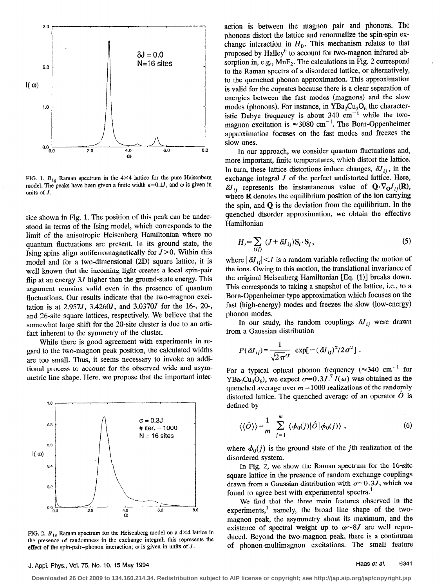

FIG. 1.  $B_{1g}$  Raman spectrum in the 4×4 lattice for the pure Heisenberg model. The peaks have been given a finite width  $\epsilon = 0.1J$ , and  $\omega$  is given in units of  $J$ .

tice shown in Fig. 1. The position of this peak can be understood in terms of the Ising model, which corresponds to the limit of the anisotropic Heisenberg Hamiltonian where no quantum fluctuations are present. In its ground state, the Ising spins align antiferromagnetically for  $J > 0$ . Within this model and for a two-dimensional (2D) square lattice, it is well known that the incoming light creates a local spin-pair flip at an energy  $3J$  higher than the ground-state energy. This argument remains valid even in the presence of quantum fluctuations. Our results indicate that the two-magnon excitation is at 2.957J, 3.4260J, and 3.0370J for the 16-, 20-, and 26-site square lattices, respectively. We believe that the somewhat large shift for the 20-site cluster is due to an artifact inherent to the symmetry of the cluster.

While there is good agreement with experiments in regard to the two-magnon peak position, the calculated widths are too small. Thus, it seems necessary to invoke an additional process to account for the observed wide and asymmetric line shape. Here, we propose that the important inter-



FIG. 2.  $B_{1g}$  Raman spectrum for the Heisenberg model on a 4×4 lattice in the presence of randomness in the exchange integral; this represents the effect of the spin-pair-phonon interaction;  $\omega$  is given in units of J.

action is between the magnon pair and phonons. The phonons distort the lattice and renormalize the spin-spin exchange interaction in  $H_0$ . This mechanism relates to that proposed by Halley<sup>6</sup> to account for two-magnon infrared absorption in, e.g.,  $MnF_2$ . The calculations in Fig. 2 correspond to the Raman spectra of a disordered lattice, or alternatively, to the quenched phonon approximation. This approximation is valid for the cuprates because there is a clear separation of energies between the fast modes (magnons) and the slow modes (phonons). For instance, in  $YBa<sub>2</sub>Cu<sub>3</sub>O<sub>6</sub>$  the characteristic Debye frequency is about 340  $cm^{-1}$  while the twomagnon excitation is  $\approx 3080$  cm<sup>-1</sup>. The Born-Oppenheimer approximation focuses on the fast modes and freezes the slow ones.

In our approach, we consider quantum fluctuations and, more important, finite temperatures, which distort the lattice. In turn, these lattice distortions induce changes,  $\delta J_{ii}$ , in the exchange integral  $J$  of the perfect undistorted lattice. Here,  $\delta J_{ii}$  represents the instantaneous value of  $Q \cdot \nabla_Q J_{ii}(R)$ , where R denotes the equilibrium position of the ion carrying the spin, and  $Q$  is the deviation from the equilibrium. In the quenched disorder approximation, we obtain the effective Hamiltonian

$$
H_i = \sum_{\langle ij \rangle} (J + \delta J_{ij}) \mathbf{S}_i \cdot \mathbf{S}_j, \tag{5}
$$

where  $|\delta J_{ii}|$  < J is a random variable reflecting the motion of the ions. Owing to this motion, the translational invariance of the original Heisenberg Hamiltonian [Eq. (1)] breaks down. This corresponds to taking a snapshot of the lattice, i.e., to a Born-Oppenheimer-type approximation which focuses on the fast (high-energy) modes and freezes the slow (low-energy) phonon modes.

In our study, the random couplings  $\delta J_{ij}$  were drawn from a Gaussian distribution

$$
P(\delta J_{ij}) = \frac{1}{\sqrt{2\pi}\sigma} \exp[-(\delta J_{ij})^2/2\sigma^2].
$$

For a typical optical phonon frequency ( $\approx$ 340 cm<sup>-1</sup> for YBa<sub>2</sub>Cu<sub>3</sub>O<sub>6</sub>), we expect  $\sigma \approx 0.3 J^{7} I(\omega)$  was obtained as the quenched average over  $m \approx 1000$  realizations of the randomly distorted lattice. The quenched average of an operator  $\ddot{O}$  is defined by

$$
\langle \langle \hat{O} \rangle \rangle = \frac{1}{m} \sum_{j=1}^{m} \langle \phi_0(j) | \hat{O} | \phi_0(j) \rangle , \qquad (6)
$$

where  $\phi_0(j)$  is the ground state of the *j*th realization of the disordered system.

In Fig. 2, we show the Raman spectrum for the 16-site square lattice in the presence of random exchange couplings drawn from a Gaussian distribution with  $\sigma \approx 0.3J$ , which we found to agree best with experimental spectra.<sup>1</sup>

We find that the three main features observed in the experiments,<sup>1</sup> namely, the broad line shape of the twomagnon peak, the asymmetry about its maximum, and the existence of spectral weight up to  $\omega \sim 8J$  are well reproduced. Beyond the two-magnon peak, there is a continuum of phonon-multimagnon excitations. The small feature

## J. Appl. Phys., Vol. 75, No. 10, 15 May 1994

6341 Haas et al.

Downloaded 26 Oct 2009 to 134.160.214.34. Redistribution subject to AIP license or copyright; see http://jap.aip.org/jap/copyright.jsp